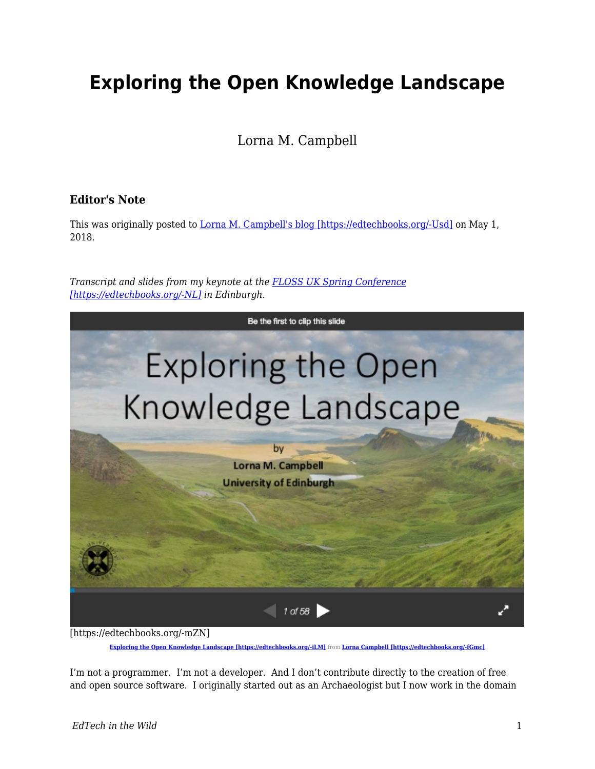# **Exploring the Open Knowledge Landscape**

Lorna M. Campbell

#### **Editor's Note**

This was originally posted to [Lorna M. Campbell's blog \[https://edtechbooks.org/-Usd\]](http://lornamcampbell.org/higher-education/exploring-the-open-knowledge-landscape/) on May 1, 2018.

*Transcript and slides from my keynote at the [FLOSS UK Spring Conference](https://www.flossuk.org/membership/spring-conference-2018/spring-2018-talks/) [\[https://edtechbooks.org/-NL\]](https://www.flossuk.org/membership/spring-conference-2018/spring-2018-talks/) in Edinburgh.*



**[Exploring the Open Knowledge Landscape \[https://edtechbooks.org/-iLM\]](https://edtechbooks.org/wild///www.slideshare.net/LornaMCampbell/exploring-the-open-knowledge-landscape)** from Lorna Campbell [https://edtechbooks.org/-iLM]

I'm not a programmer. I'm not a developer. And I don't contribute directly to the creation of free and open source software. I originally started out as an Archaeologist but I now work in the domain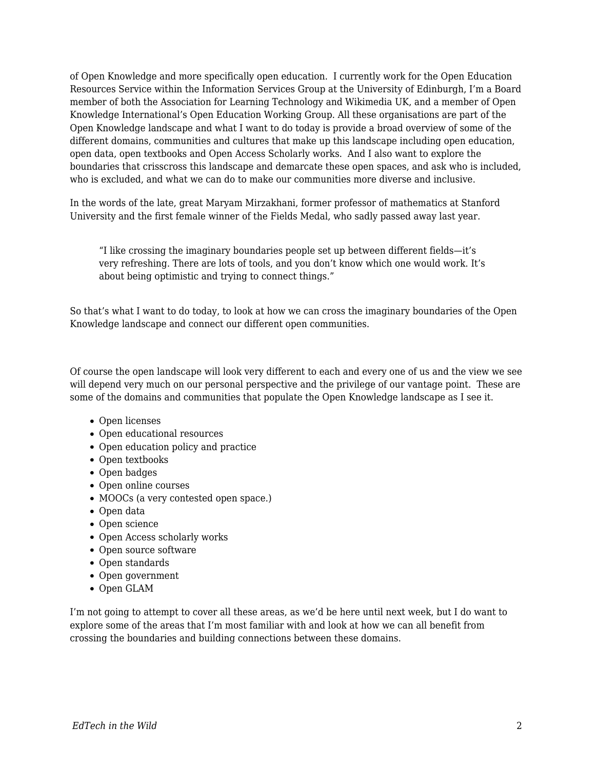of Open Knowledge and more specifically open education. I currently work for the Open Education Resources Service within the Information Services Group at the University of Edinburgh, I'm a Board member of both the Association for Learning Technology and Wikimedia UK, and a member of Open Knowledge International's Open Education Working Group. All these organisations are part of the Open Knowledge landscape and what I want to do today is provide a broad overview of some of the different domains, communities and cultures that make up this landscape including open education, open data, open textbooks and Open Access Scholarly works. And I also want to explore the boundaries that crisscross this landscape and demarcate these open spaces, and ask who is included, who is excluded, and what we can do to make our communities more diverse and inclusive.

In the words of the late, great Maryam Mirzakhani, former professor of mathematics at Stanford University and the first female winner of the Fields Medal, who sadly passed away last year.

"I like crossing the imaginary boundaries people set up between different fields—it's very refreshing. There are lots of tools, and you don't know which one would work. It's about being optimistic and trying to connect things."

So that's what I want to do today, to look at how we can cross the imaginary boundaries of the Open Knowledge landscape and connect our different open communities.

Of course the open landscape will look very different to each and every one of us and the view we see will depend very much on our personal perspective and the privilege of our vantage point. These are some of the domains and communities that populate the Open Knowledge landscape as I see it.

- Open licenses
- Open educational resources
- Open education policy and practice
- Open textbooks
- Open badges
- Open online courses
- MOOCs (a very contested open space.)
- Open data
- Open science
- Open Access scholarly works
- Open source software
- Open standards
- Open government
- Open GLAM

I'm not going to attempt to cover all these areas, as we'd be here until next week, but I do want to explore some of the areas that I'm most familiar with and look at how we can all benefit from crossing the boundaries and building connections between these domains.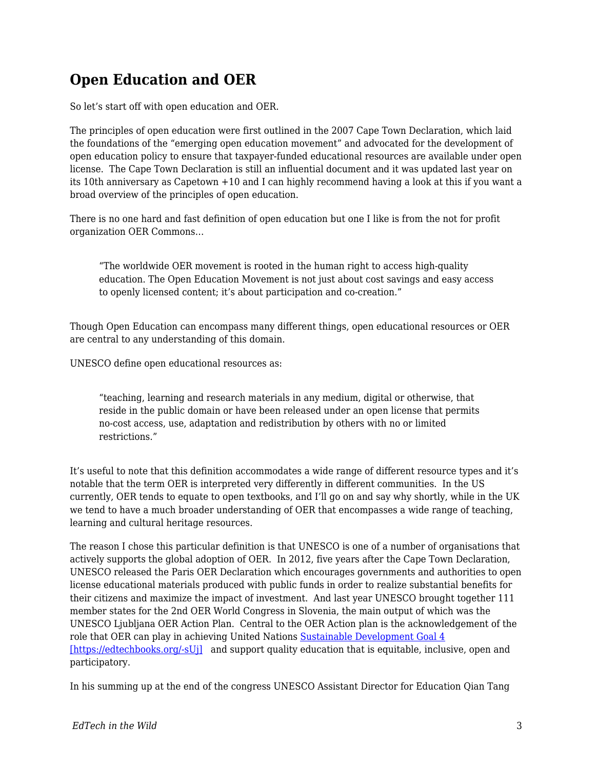# **Open Education and OER**

So let's start off with open education and OER.

The principles of open education were first outlined in the 2007 Cape Town Declaration, which laid the foundations of the "emerging open education movement" and advocated for the development of open education policy to ensure that taxpayer-funded educational resources are available under open license. The Cape Town Declaration is still an influential document and it was updated last year on its 10th anniversary as Capetown +10 and I can highly recommend having a look at this if you want a broad overview of the principles of open education.

There is no one hard and fast definition of open education but one I like is from the not for profit organization OER Commons…

"The worldwide OER movement is rooted in the human right to access high-quality education. The Open Education Movement is not just about cost savings and easy access to openly licensed content; it's about participation and co-creation."

Though Open Education can encompass many different things, open educational resources or OER are central to any understanding of this domain.

UNESCO define open educational resources as:

"teaching, learning and research materials in any medium, digital or otherwise, that reside in the public domain or have been released under an open license that permits no-cost access, use, adaptation and redistribution by others with no or limited restrictions."

It's useful to note that this definition accommodates a wide range of different resource types and it's notable that the term OER is interpreted very differently in different communities. In the US currently, OER tends to equate to open textbooks, and I'll go on and say why shortly, while in the UK we tend to have a much broader understanding of OER that encompasses a wide range of teaching, learning and cultural heritage resources.

The reason I chose this particular definition is that UNESCO is one of a number of organisations that actively supports the global adoption of OER. In 2012, five years after the Cape Town Declaration, UNESCO released the Paris OER Declaration which encourages governments and authorities to open license educational materials produced with public funds in order to realize substantial benefits for their citizens and maximize the impact of investment. And last year UNESCO brought together 111 member states for the 2nd OER World Congress in Slovenia, the main output of which was the UNESCO Ljubljana OER Action Plan. Central to the OER Action plan is the acknowledgement of the role that OER can play in achieving United Nations [Sustainable Development Goal 4](https://sustainabledevelopment.un.org/sdg4) [\[https://edtechbooks.org/-sUj\]](https://sustainabledevelopment.un.org/sdg4) and support quality education that is equitable, inclusive, open and participatory.

In his summing up at the end of the congress UNESCO Assistant Director for Education Qian Tang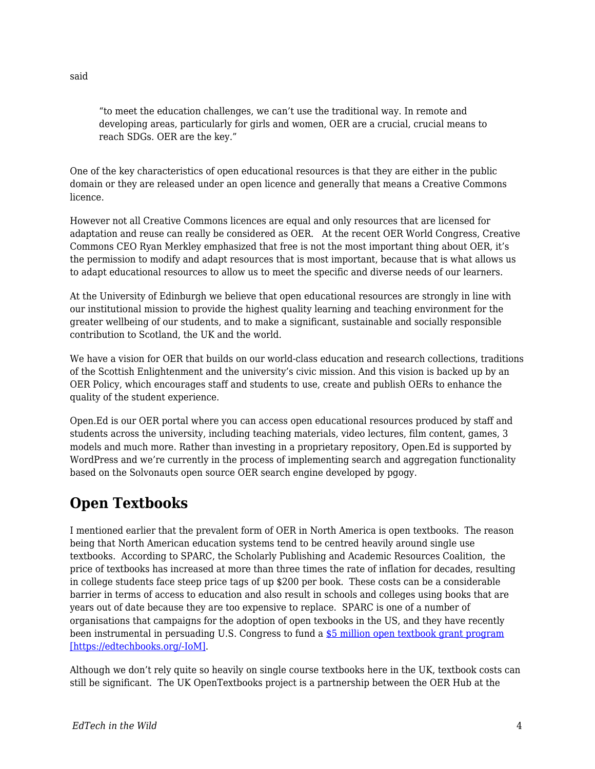"to meet the education challenges, we can't use the traditional way. In remote and developing areas, particularly for girls and women, OER are a crucial, crucial means to reach SDGs. OER are the key."

One of the key characteristics of open educational resources is that they are either in the public domain or they are released under an open licence and generally that means a Creative Commons licence.

However not all Creative Commons licences are equal and only resources that are licensed for adaptation and reuse can really be considered as OER. At the recent OER World Congress, Creative Commons CEO Ryan Merkley emphasized that free is not the most important thing about OER, it's the permission to modify and adapt resources that is most important, because that is what allows us to adapt educational resources to allow us to meet the specific and diverse needs of our learners.

At the University of Edinburgh we believe that open educational resources are strongly in line with our institutional mission to provide the highest quality learning and teaching environment for the greater wellbeing of our students, and to make a significant, sustainable and socially responsible contribution to Scotland, the UK and the world.

We have a vision for OER that builds on our world-class education and research collections, traditions of the Scottish Enlightenment and the university's civic mission. And this vision is backed up by an OER Policy, which encourages staff and students to use, create and publish OERs to enhance the quality of the student experience.

Open.Ed is our OER portal where you can access open educational resources produced by staff and students across the university, including teaching materials, video lectures, film content, games, 3 models and much more. Rather than investing in a proprietary repository, Open.Ed is supported by WordPress and we're currently in the process of implementing search and aggregation functionality based on the Solvonauts open source OER search engine developed by pgogy.

#### **Open Textbooks**

I mentioned earlier that the prevalent form of OER in North America is open textbooks. The reason being that North American education systems tend to be centred heavily around single use textbooks. According to SPARC, the Scholarly Publishing and Academic Resources Coalition, the price of textbooks has increased at more than three times the rate of inflation for decades, resulting in college students face steep price tags of up \$200 per book. These costs can be a considerable barrier in terms of access to education and also result in schools and colleges using books that are years out of date because they are too expensive to replace. SPARC is one of a number of organisations that campaigns for the adoption of open texbooks in the US, and they have recently been instrumental in persuading U.S. Congress to fund a [\\$5 million open textbook grant program](https://sparcopen.org/our-work/open-textbooks-fy18/) [\[https://edtechbooks.org/-IoM\].](https://sparcopen.org/our-work/open-textbooks-fy18/)

Although we don't rely quite so heavily on single course textbooks here in the UK, textbook costs can still be significant. The UK OpenTextbooks project is a partnership between the OER Hub at the

said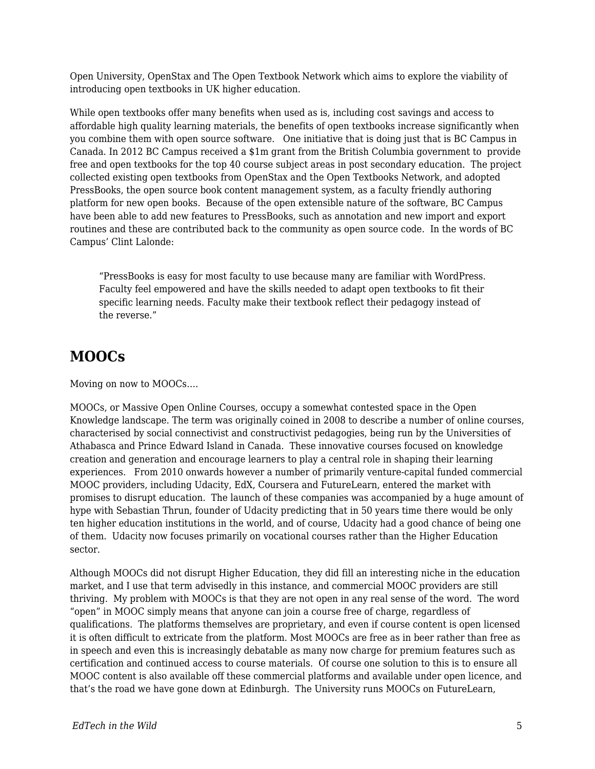Open University, OpenStax and The Open Textbook Network which aims to explore the viability of introducing open textbooks in UK higher education.

While open textbooks offer many benefits when used as is, including cost savings and access to affordable high quality learning materials, the benefits of open textbooks increase significantly when you combine them with open source software. One initiative that is doing just that is BC Campus in Canada. In 2012 BC Campus received a \$1m grant from the British Columbia government to provide free and open textbooks for the top 40 course subject areas in post secondary education. The project collected existing open textbooks from OpenStax and the Open Textbooks Network, and adopted PressBooks, the open source book content management system, as a faculty friendly authoring platform for new open books. Because of the open extensible nature of the software, BC Campus have been able to add new features to PressBooks, such as annotation and new import and export routines and these are contributed back to the community as open source code. In the words of BC Campus' Clint Lalonde:

"PressBooks is easy for most faculty to use because many are familiar with WordPress. Faculty feel empowered and have the skills needed to adapt open textbooks to fit their specific learning needs. Faculty make their textbook reflect their pedagogy instead of the reverse."

#### **MOOCs**

Moving on now to MOOCs….

MOOCs, or Massive Open Online Courses, occupy a somewhat contested space in the Open Knowledge landscape. The term was originally coined in 2008 to describe a number of online courses, characterised by social connectivist and constructivist pedagogies, being run by the Universities of Athabasca and Prince Edward Island in Canada. These innovative courses focused on knowledge creation and generation and encourage learners to play a central role in shaping their learning experiences. From 2010 onwards however a number of primarily venture-capital funded commercial MOOC providers, including Udacity, EdX, Coursera and FutureLearn, entered the market with promises to disrupt education. The launch of these companies was accompanied by a huge amount of hype with Sebastian Thrun, founder of Udacity predicting that in 50 years time there would be only ten higher education institutions in the world, and of course, Udacity had a good chance of being one of them. Udacity now focuses primarily on vocational courses rather than the Higher Education sector.

Although MOOCs did not disrupt Higher Education, they did fill an interesting niche in the education market, and I use that term advisedly in this instance, and commercial MOOC providers are still thriving. My problem with MOOCs is that they are not open in any real sense of the word. The word "open" in MOOC simply means that anyone can join a course free of charge, regardless of qualifications. The platforms themselves are proprietary, and even if course content is open licensed it is often difficult to extricate from the platform. Most MOOCs are free as in beer rather than free as in speech and even this is increasingly debatable as many now charge for premium features such as certification and continued access to course materials. Of course one solution to this is to ensure all MOOC content is also available off these commercial platforms and available under open licence, and that's the road we have gone down at Edinburgh. The University runs MOOCs on FutureLearn,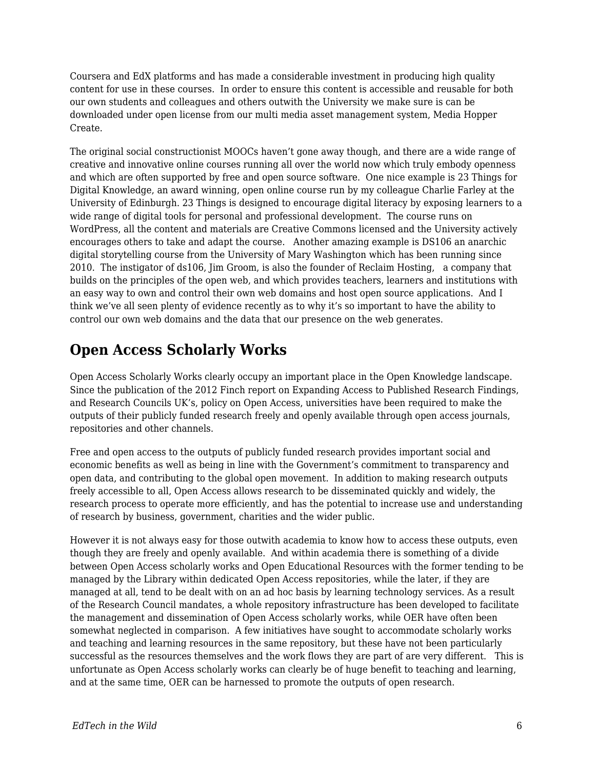Coursera and EdX platforms and has made a considerable investment in producing high quality content for use in these courses. In order to ensure this content is accessible and reusable for both our own students and colleagues and others outwith the University we make sure is can be downloaded under open license from our multi media asset management system, Media Hopper Create.

The original social constructionist MOOCs haven't gone away though, and there are a wide range of creative and innovative online courses running all over the world now which truly embody openness and which are often supported by free and open source software. One nice example is 23 Things for Digital Knowledge, an award winning, open online course run by my colleague Charlie Farley at the University of Edinburgh. 23 Things is designed to encourage digital literacy by exposing learners to a wide range of digital tools for personal and professional development. The course runs on WordPress, all the content and materials are Creative Commons licensed and the University actively encourages others to take and adapt the course. Another amazing example is DS106 an anarchic digital storytelling course from the University of Mary Washington which has been running since 2010. The instigator of ds106, Jim Groom, is also the founder of Reclaim Hosting, a company that builds on the principles of the open web, and which provides teachers, learners and institutions with an easy way to own and control their own web domains and host open source applications. And I think we've all seen plenty of evidence recently as to why it's so important to have the ability to control our own web domains and the data that our presence on the web generates.

### **Open Access Scholarly Works**

Open Access Scholarly Works clearly occupy an important place in the Open Knowledge landscape. Since the publication of the 2012 Finch report on Expanding Access to Published Research Findings, and Research Councils UK's, policy on Open Access, universities have been required to make the outputs of their publicly funded research freely and openly available through open access journals, repositories and other channels.

Free and open access to the outputs of publicly funded research provides important social and economic benefits as well as being in line with the Government's commitment to transparency and open data, and contributing to the global open movement. In addition to making research outputs freely accessible to all, Open Access allows research to be disseminated quickly and widely, the research process to operate more efficiently, and has the potential to increase use and understanding of research by business, government, charities and the wider public.

However it is not always easy for those outwith academia to know how to access these outputs, even though they are freely and openly available. And within academia there is something of a divide between Open Access scholarly works and Open Educational Resources with the former tending to be managed by the Library within dedicated Open Access repositories, while the later, if they are managed at all, tend to be dealt with on an ad hoc basis by learning technology services. As a result of the Research Council mandates, a whole repository infrastructure has been developed to facilitate the management and dissemination of Open Access scholarly works, while OER have often been somewhat neglected in comparison. A few initiatives have sought to accommodate scholarly works and teaching and learning resources in the same repository, but these have not been particularly successful as the resources themselves and the work flows they are part of are very different. This is unfortunate as Open Access scholarly works can clearly be of huge benefit to teaching and learning, and at the same time, OER can be harnessed to promote the outputs of open research.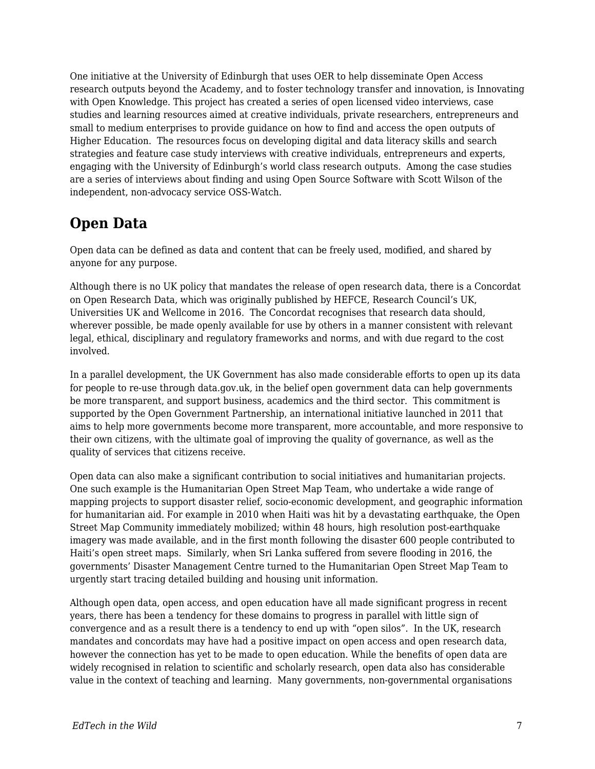One initiative at the University of Edinburgh that uses OER to help disseminate Open Access research outputs beyond the Academy, and to foster technology transfer and innovation, is Innovating with Open Knowledge. This project has created a series of open licensed video interviews, case studies and learning resources aimed at creative individuals, private researchers, entrepreneurs and small to medium enterprises to provide guidance on how to find and access the open outputs of Higher Education. The resources focus on developing digital and data literacy skills and search strategies and feature case study interviews with creative individuals, entrepreneurs and experts, engaging with the University of Edinburgh's world class research outputs. Among the case studies are a series of interviews about finding and using Open Source Software with Scott Wilson of the independent, non-advocacy service OSS-Watch.

# **Open Data**

Open data can be defined as data and content that can be freely used, modified, and shared by anyone for any purpose.

Although there is no UK policy that mandates the release of open research data, there is a Concordat on Open Research Data, which was originally published by HEFCE, Research Council's UK, Universities UK and Wellcome in 2016. The Concordat recognises that research data should, wherever possible, be made openly available for use by others in a manner consistent with relevant legal, ethical, disciplinary and regulatory frameworks and norms, and with due regard to the cost involved.

In a parallel development, the UK Government has also made considerable efforts to open up its data for people to re-use through data.gov.uk, in the belief open government data can help governments be more transparent, and support business, academics and the third sector. This commitment is supported by the Open Government Partnership, an international initiative launched in 2011 that aims to help more governments become more transparent, more accountable, and more responsive to their own citizens, with the ultimate goal of improving the quality of governance, as well as the quality of services that citizens receive.

Open data can also make a significant contribution to social initiatives and humanitarian projects. One such example is the Humanitarian Open Street Map Team, who undertake a wide range of mapping projects to support disaster relief, socio-economic development, and geographic information for humanitarian aid. For example in 2010 when Haiti was hit by a devastating earthquake, the Open Street Map Community immediately mobilized; within 48 hours, high resolution post-earthquake imagery was made available, and in the first month following the disaster 600 people contributed to Haiti's open street maps. Similarly, when Sri Lanka suffered from severe flooding in 2016, the governments' Disaster Management Centre turned to the Humanitarian Open Street Map Team to urgently start tracing detailed building and housing unit information.

Although open data, open access, and open education have all made significant progress in recent years, there has been a tendency for these domains to progress in parallel with little sign of convergence and as a result there is a tendency to end up with "open silos". In the UK, research mandates and concordats may have had a positive impact on open access and open research data, however the connection has yet to be made to open education. While the benefits of open data are widely recognised in relation to scientific and scholarly research, open data also has considerable value in the context of teaching and learning. Many governments, non-governmental organisations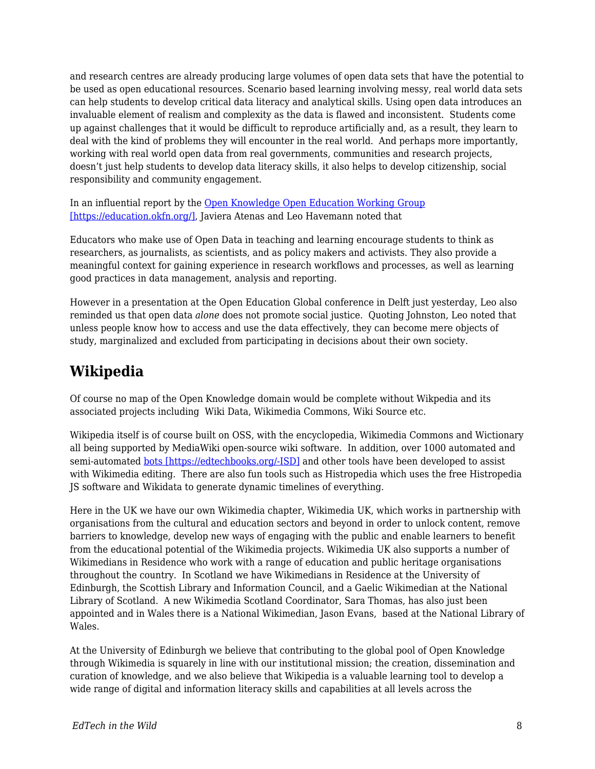and research centres are already producing large volumes of open data sets that have the potential to be used as open educational resources. Scenario based learning involving messy, real world data sets can help students to develop critical data literacy and analytical skills. Using open data introduces an invaluable element of realism and complexity as the data is flawed and inconsistent. Students come up against challenges that it would be difficult to reproduce artificially and, as a result, they learn to deal with the kind of problems they will encounter in the real world. And perhaps more importantly, working with real world open data from real governments, communities and research projects, doesn't just help students to develop data literacy skills, it also helps to develop citizenship, social responsibility and community engagement.

In an influential report by the [Open Knowledge Open Education Working Group](https://education.okfn.org/) [\[https://education.okfn.org/\],](https://education.okfn.org/) Javiera Atenas and Leo Havemann noted that

Educators who make use of Open Data in teaching and learning encourage students to think as researchers, as journalists, as scientists, and as policy makers and activists. They also provide a meaningful context for gaining experience in research workflows and processes, as well as learning good practices in data management, analysis and reporting.

However in a presentation at the Open Education Global conference in Delft just yesterday, Leo also reminded us that open data *alone* does not promote social justice. Quoting Johnston, Leo noted that unless people know how to access and use the data effectively, they can become mere objects of study, marginalized and excluded from participating in decisions about their own society.

# **Wikipedia**

Of course no map of the Open Knowledge domain would be complete without Wikpedia and its associated projects including Wiki Data, Wikimedia Commons, Wiki Source etc.

Wikipedia itself is of course built on OSS, with the encyclopedia, Wikimedia Commons and Wictionary all being supported by MediaWiki open-source wiki software. In addition, over 1000 automated and semi-automated [bots \[https://edtechbooks.org/-ISD\]](https://en.wikipedia.org/wiki/Internet_bot) and other tools have been developed to assist with Wikimedia editing. There are also fun tools such as Histropedia which uses the free Histropedia JS software and Wikidata to generate dynamic timelines of everything.

Here in the UK we have our own Wikimedia chapter, Wikimedia UK, which works in partnership with organisations from the cultural and education sectors and beyond in order to unlock content, remove barriers to knowledge, develop new ways of engaging with the public and enable learners to benefit from the educational potential of the Wikimedia projects. Wikimedia UK also supports a number of Wikimedians in Residence who work with a range of education and public heritage organisations throughout the country. In Scotland we have Wikimedians in Residence at the University of Edinburgh, the Scottish Library and Information Council, and a Gaelic Wikimedian at the National Library of Scotland. A new Wikimedia Scotland Coordinator, Sara Thomas, has also just been appointed and in Wales there is a National Wikimedian, Jason Evans, based at the National Library of Wales.

At the University of Edinburgh we believe that contributing to the global pool of Open Knowledge through Wikimedia is squarely in line with our institutional mission; the creation, dissemination and curation of knowledge, and we also believe that Wikipedia is a valuable learning tool to develop a wide range of digital and information literacy skills and capabilities at all levels across the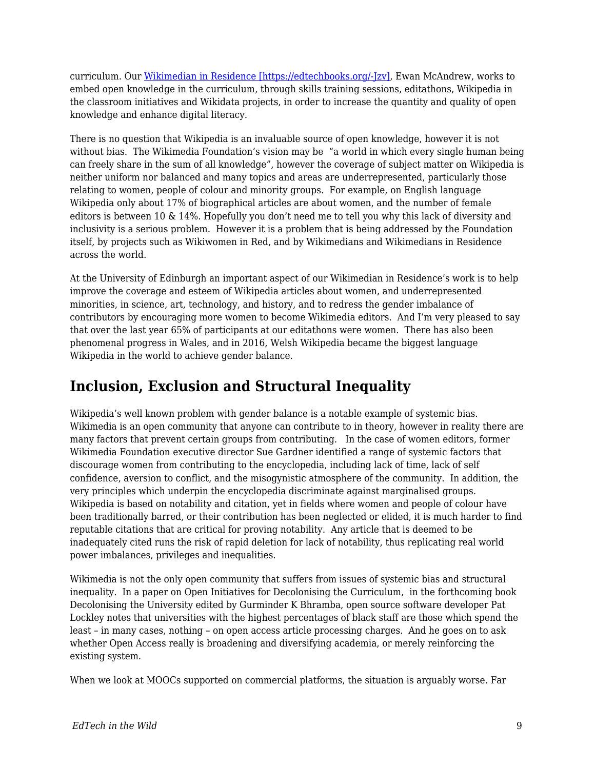curriculum. Our [Wikimedian in Residence \[https://edtechbooks.org/-Jzv\]](http://thinking.is.ed.ac.uk/wir/), Ewan McAndrew, works to embed open knowledge in the curriculum, through skills training sessions, editathons, Wikipedia in the classroom initiatives and Wikidata projects, in order to increase the quantity and quality of open knowledge and enhance digital literacy.

There is no question that Wikipedia is an invaluable source of open knowledge, however it is not without bias. The Wikimedia Foundation's vision may be "a world in which every single human being can freely share in the sum of all knowledge", however the coverage of subject matter on Wikipedia is neither uniform nor balanced and many topics and areas are underrepresented, particularly those relating to women, people of colour and minority groups. For example, on English language Wikipedia only about 17% of biographical articles are about women, and the number of female editors is between 10 & 14%. Hopefully you don't need me to tell you why this lack of diversity and inclusivity is a serious problem. However it is a problem that is being addressed by the Foundation itself, by projects such as Wikiwomen in Red, and by Wikimedians and Wikimedians in Residence across the world.

At the University of Edinburgh an important aspect of our Wikimedian in Residence's work is to help improve the coverage and esteem of Wikipedia articles about women, and underrepresented minorities, in science, art, technology, and history, and to redress the gender imbalance of contributors by encouraging more women to become Wikimedia editors. And I'm very pleased to say that over the last year 65% of participants at our editathons were women. There has also been phenomenal progress in Wales, and in 2016, Welsh Wikipedia became the biggest language Wikipedia in the world to achieve gender balance.

#### **Inclusion, Exclusion and Structural Inequality**

Wikipedia's well known problem with gender balance is a notable example of systemic bias. Wikimedia is an open community that anyone can contribute to in theory, however in reality there are many factors that prevent certain groups from contributing. In the case of women editors, former Wikimedia Foundation executive director Sue Gardner identified a range of systemic factors that discourage women from contributing to the encyclopedia, including lack of time, lack of self confidence, aversion to conflict, and the misogynistic atmosphere of the community. In addition, the very principles which underpin the encyclopedia discriminate against marginalised groups. Wikipedia is based on notability and citation, yet in fields where women and people of colour have been traditionally barred, or their contribution has been neglected or elided, it is much harder to find reputable citations that are critical for proving notability. Any article that is deemed to be inadequately cited runs the risk of rapid deletion for lack of notability, thus replicating real world power imbalances, privileges and inequalities.

Wikimedia is not the only open community that suffers from issues of systemic bias and structural inequality. In a paper on Open Initiatives for Decolonising the Curriculum, in the forthcoming book Decolonising the University edited by Gurminder K Bhramba, open source software developer Pat Lockley notes that universities with the highest percentages of black staff are those which spend the least – in many cases, nothing – on open access article processing charges. And he goes on to ask whether Open Access really is broadening and diversifying academia, or merely reinforcing the existing system.

When we look at MOOCs supported on commercial platforms, the situation is arguably worse. Far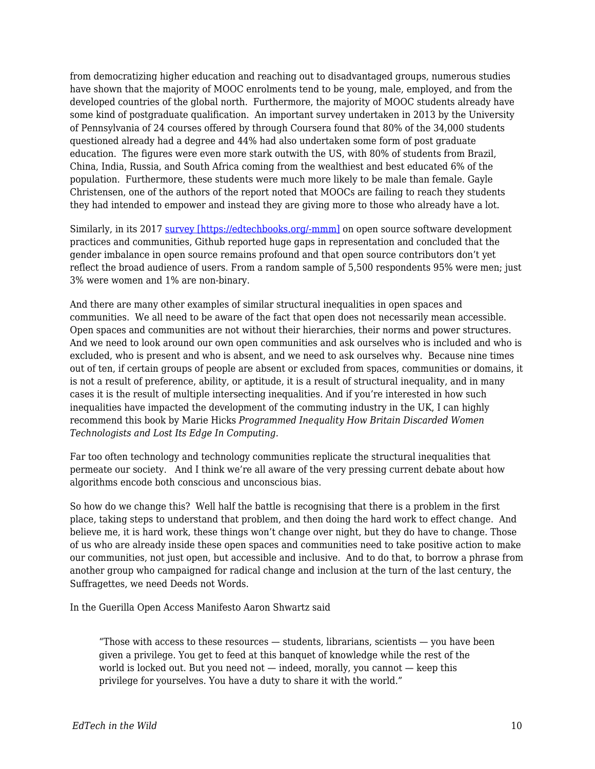from democratizing higher education and reaching out to disadvantaged groups, numerous studies have shown that the majority of MOOC enrolments tend to be young, male, employed, and from the developed countries of the global north. Furthermore, the majority of MOOC students already have some kind of postgraduate qualification. An important survey undertaken in 2013 by the University of Pennsylvania of 24 courses offered by through Coursera found that 80% of the 34,000 students questioned already had a degree and 44% had also undertaken some form of post graduate education. The figures were even more stark outwith the US, with 80% of students from Brazil, China, India, Russia, and South Africa coming from the wealthiest and best educated 6% of the population. Furthermore, these students were much more likely to be male than female. Gayle Christensen, one of the authors of the report noted that MOOCs are failing to reach they students they had intended to empower and instead they are giving more to those who already have a lot.

Similarly, in its 2017 [survey \[https://edtechbooks.org/-mmm\]](http://opensourcesurvey.org/2017/) on open source software development practices and communities, Github reported huge gaps in representation and concluded that the gender imbalance in open source remains profound and that open source contributors don't yet reflect the broad audience of users. From a random sample of 5,500 respondents 95% were men; just 3% were women and 1% are non-binary.

And there are many other examples of similar structural inequalities in open spaces and communities. We all need to be aware of the fact that open does not necessarily mean accessible. Open spaces and communities are not without their hierarchies, their norms and power structures. And we need to look around our own open communities and ask ourselves who is included and who is excluded, who is present and who is absent, and we need to ask ourselves why. Because nine times out of ten, if certain groups of people are absent or excluded from spaces, communities or domains, it is not a result of preference, ability, or aptitude, it is a result of structural inequality, and in many cases it is the result of multiple intersecting inequalities. And if you're interested in how such inequalities have impacted the development of the commuting industry in the UK, I can highly recommend this book by Marie Hicks *Programmed Inequality How Britain Discarded Women Technologists and Lost Its Edge In Computing.*

Far too often technology and technology communities replicate the structural inequalities that permeate our society. And I think we're all aware of the very pressing current debate about how algorithms encode both conscious and unconscious bias.

So how do we change this? Well half the battle is recognising that there is a problem in the first place, taking steps to understand that problem, and then doing the hard work to effect change. And believe me, it is hard work, these things won't change over night, but they do have to change. Those of us who are already inside these open spaces and communities need to take positive action to make our communities, not just open, but accessible and inclusive. And to do that, to borrow a phrase from another group who campaigned for radical change and inclusion at the turn of the last century, the Suffragettes, we need Deeds not Words.

In the Guerilla Open Access Manifesto Aaron Shwartz said

"Those with access to these resources  $-$  students, librarians, scientists  $-$  you have been given a privilege. You get to feed at this banquet of knowledge while the rest of the world is locked out. But you need not  $-$  indeed, morally, you cannot  $-$  keep this privilege for yourselves. You have a duty to share it with the world."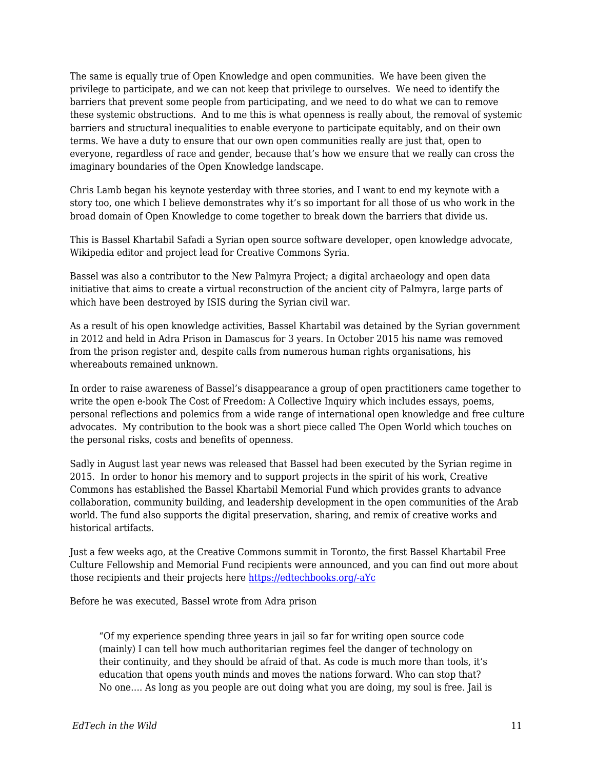The same is equally true of Open Knowledge and open communities. We have been given the privilege to participate, and we can not keep that privilege to ourselves. We need to identify the barriers that prevent some people from participating, and we need to do what we can to remove these systemic obstructions. And to me this is what openness is really about, the removal of systemic barriers and structural inequalities to enable everyone to participate equitably, and on their own terms. We have a duty to ensure that our own open communities really are just that, open to everyone, regardless of race and gender, because that's how we ensure that we really can cross the imaginary boundaries of the Open Knowledge landscape.

Chris Lamb began his keynote yesterday with three stories, and I want to end my keynote with a story too, one which I believe demonstrates why it's so important for all those of us who work in the broad domain of Open Knowledge to come together to break down the barriers that divide us.

This is Bassel Khartabil Safadi a Syrian open source software developer, open knowledge advocate, Wikipedia editor and project lead for Creative Commons Syria.

Bassel was also a contributor to the New Palmyra Project; a digital archaeology and open data initiative that aims to create a virtual reconstruction of the ancient city of Palmyra, large parts of which have been destroyed by ISIS during the Syrian civil war.

As a result of his open knowledge activities, Bassel Khartabil was detained by the Syrian government in 2012 and held in Adra Prison in Damascus for 3 years. In October 2015 his name was removed from the prison register and, despite calls from numerous human rights organisations, his whereabouts remained unknown.

In order to raise awareness of Bassel's disappearance a group of open practitioners came together to write the open e-book The Cost of Freedom: A Collective Inquiry which includes essays, poems, personal reflections and polemics from a wide range of international open knowledge and free culture advocates. My contribution to the book was a short piece called The Open World which touches on the personal risks, costs and benefits of openness.

Sadly in August last year news was released that Bassel had been executed by the Syrian regime in 2015. In order to honor his memory and to support projects in the spirit of his work, Creative Commons has established the Bassel Khartabil Memorial Fund which provides grants to advance collaboration, community building, and leadership development in the open communities of the Arab world. The fund also supports the digital preservation, sharing, and remix of creative works and historical artifacts.

Just a few weeks ago, at the Creative Commons summit in Toronto, the first Bassel Khartabil Free Culture Fellowship and Memorial Fund recipients were announced, and you can find out more about those recipients and their projects here [https://edtechbooks.org/-aYc](https://creativecommons.org/2018/04/15/fellowship-memorial-fund/)

Before he was executed, Bassel wrote from Adra prison

"Of my experience spending three years in jail so far for writing open source code (mainly) I can tell how much authoritarian regimes feel the danger of technology on their continuity, and they should be afraid of that. As code is much more than tools, it's education that opens youth minds and moves the nations forward. Who can stop that? No one…. As long as you people are out doing what you are doing, my soul is free. Jail is